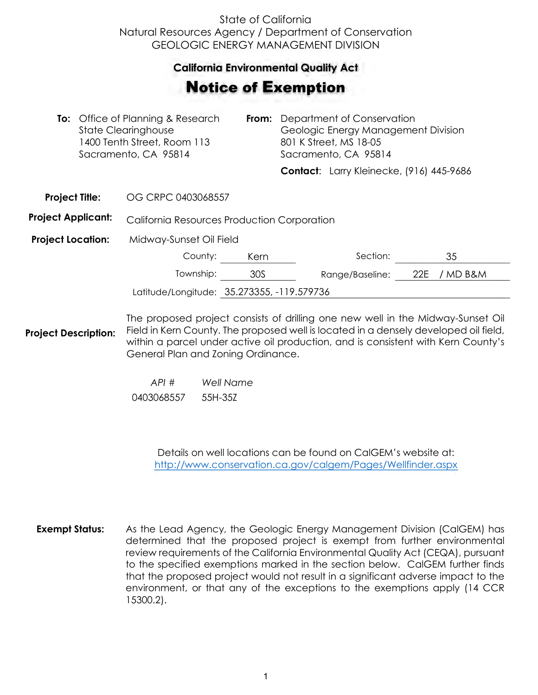## State of California Natural Resources Agency / Department of Conservation GEOLOGIC ENERGY MANAGEMENT DIVISION

## **California Environmental Quality Act**  California Environmental Quality Act

## Notice of Exemption **otice of Exemption**

| <b>To:</b> Office of Planning & Research<br>State Clearinghouse<br>1400 Tenth Street, Room 113<br>Sacramento, CA 95814 |  | From:                                                                          | Department of Conservation<br>Geologic Energy Management Division<br>801 K Street, MS 18-05<br>Sacramento, CA 95814 |  |                                          |     |          |
|------------------------------------------------------------------------------------------------------------------------|--|--------------------------------------------------------------------------------|---------------------------------------------------------------------------------------------------------------------|--|------------------------------------------|-----|----------|
|                                                                                                                        |  |                                                                                |                                                                                                                     |  | Contact: Larry Kleinecke, (916) 445-9686 |     |          |
| <b>Project Title:</b>                                                                                                  |  | OG CRPC 0403068557                                                             |                                                                                                                     |  |                                          |     |          |
| <b>Project Applicant:</b>                                                                                              |  | California Resources Production Corporation                                    |                                                                                                                     |  |                                          |     |          |
| <b>Project Location:</b>                                                                                               |  | Midway-Sunset Oil Field                                                        |                                                                                                                     |  |                                          |     |          |
|                                                                                                                        |  | County:                                                                        | Kern                                                                                                                |  | Section:                                 |     | 35       |
|                                                                                                                        |  | Township:                                                                      | 30S                                                                                                                 |  | Range/Baseline:                          | 22E | / MD B&M |
|                                                                                                                        |  | Latitude/Longitude: 35.273355, -119.579736                                     |                                                                                                                     |  |                                          |     |          |
|                                                                                                                        |  | The prepared project consiste of drilling and pour well in the Midway Superior |                                                                                                                     |  |                                          |     |          |

**Project Description:** The proposed project consists of drilling one new well in the Midway-Sunset Oil Field in Kern County. The proposed well is located in a densely developed oil field, within a parcel under active oil production, and is consistent with Kern County's General Plan and Zoning Ordinance.

> *API # Well Name*  0403068557 55H-35Z

> > Details on well locations can be found on CalGEM's website at: <http://www.conservation.ca.gov/calgem/Pages/Wellfinder.aspx>

**Exempt Status:** As the Lead Agency, the Geologic Energy Management Division (CalGEM) has determined that the proposed project is exempt from further environmental review requirements of the California Environmental Quality Act (CEQA), pursuant to the specified exemptions marked in the section below. CalGEM further finds that the proposed project would not result in a significant adverse impact to the environment, or that any of the exceptions to the exemptions apply (14 CCR 15300.2).